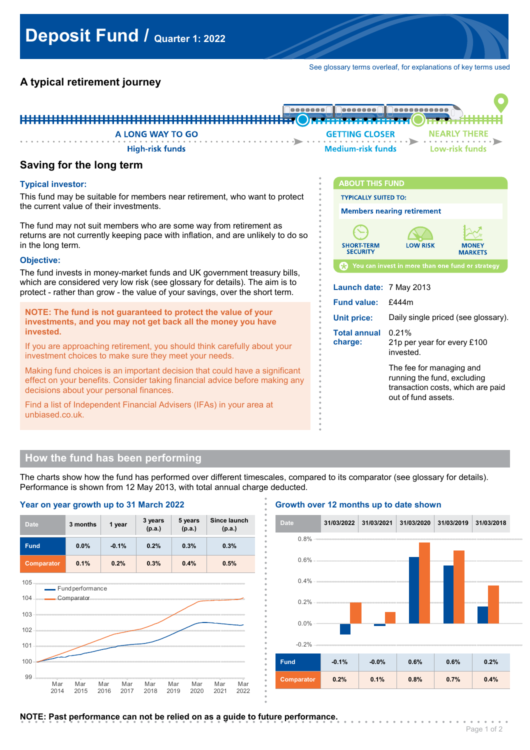See glossary terms overleaf, for explanations of key terms used

# **A typical retirement journey**



**. . . . . . . . . . . . . . .**

**. . . . . . . . . . . . . . . .**

**. . . . . . . . . . . . . . . .**

**Typical investor:**

This fund may be suitable for members near retirement, who want to protect the current value of their investments.

The fund may not suit members who are some way from retirement as returns are not currently keeping pace with inflation, and are unlikely to do so in the long term.

### **Objective:**

The fund invests in money-market funds and UK government treasury bills, which are considered very low risk (see glossary for details). The aim is to protect - rather than grow - the value of your savings, over the short term.

**NOTE: The fund is not guaranteed to protect the value of your investments, and you may not get back all the money you have invested.**

If you are approaching retirement, you should think carefully about your investment choices to make sure they meet your needs.

Making fund choices is an important decision that could have a significant effect on your benefits. Consider taking financial advice before making any decisions about your personal finances.

Find a list of Independent Financial Advisers (IFAs) in your area at unbiased.co.uk.



invested. The fee for managing and running the fund, excluding transaction costs, which are paid out of fund assets.

# **How the fund has been performing**

**Year on year growth up to 31 March 2022**

The charts show how the fund has performed over different timescales, compared to its comparator (see glossary for details). Performance is shown from 12 May 2013, with total annual charge deducted. **.**

> **. . . . . . . . . . . .**

> **. . . . . . . . . . . . .**

> **. . . . . . . . . . . . .**

#### **3 months 1 year 3 years (p.a.) 5 years (p.a.) Since launch** Date 3 months 1 year p.a.) (p.a.) (p.a.) (p.a.) **Fund 0.0% -0.1% 0.2% 0.3% 0.3% Comparator 0.1% 0.2% 0.3% 0.4% 0.5%** 105 - Fund performance



## **Growth over 12 months up to date shown**



NOTE: Past performance can not be relied on as a guide to future performance.